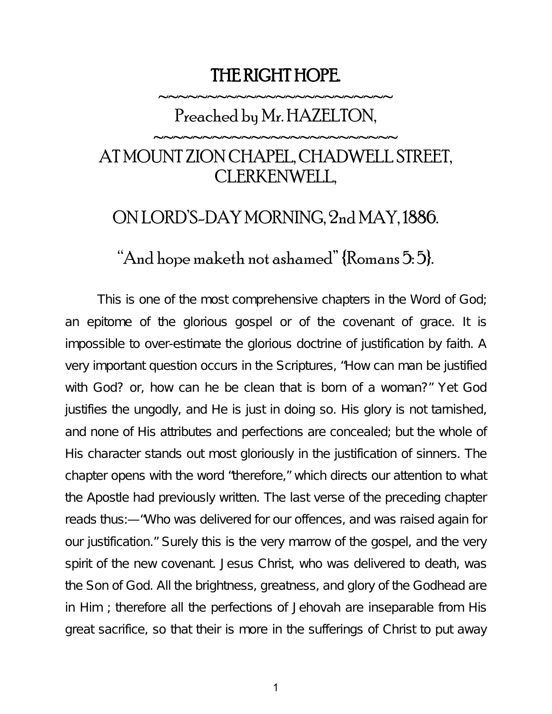## THE RIGHT HOPE.

## ~~~~~~~~~~~~~~~~~~~~~~~ Preached by Mr. HAZELTON,

~~~~~~~~~~~~~~~~~~~~~~~

## AT MOUNT ZION CHAPEL, CHADWELL STREET, CLERKENWELL,

## ON LORD'S-DAY MORNING, 2nd MAY, 1886.

"And hope maketh not ashamed" {Romans 5: 5}.

This is one of the most comprehensive chapters in the Word of God; an epitome of the glorious gospel or of the covenant of grace. It is impossible to over-estimate the glorious doctrine of justification by faith. A very important question occurs in the Scriptures, "How can man be justified with God? or, how can he be clean that is born of a woman?" Yet God justifies the ungodly, and He is just in doing so. His glory is not tarnished, and none of His attributes and perfections are concealed; but the whole of His character stands out most gloriously in the justification of sinners. The chapter opens with the word "therefore," which directs our attention to what the Apostle had previously written. The last verse of the preceding chapter reads thus:—"Who was delivered for our offences, and was raised again for our justification." Surely this is the very marrow of the gospel, and the very spirit of the new covenant. Jesus Christ, who was delivered to death, was the Son of God. All the brightness, greatness, and glory of the Godhead are in Him ; therefore all the perfections of Jehovah are inseparable from His great sacrifice, so that their is more in the sufferings of Christ to put away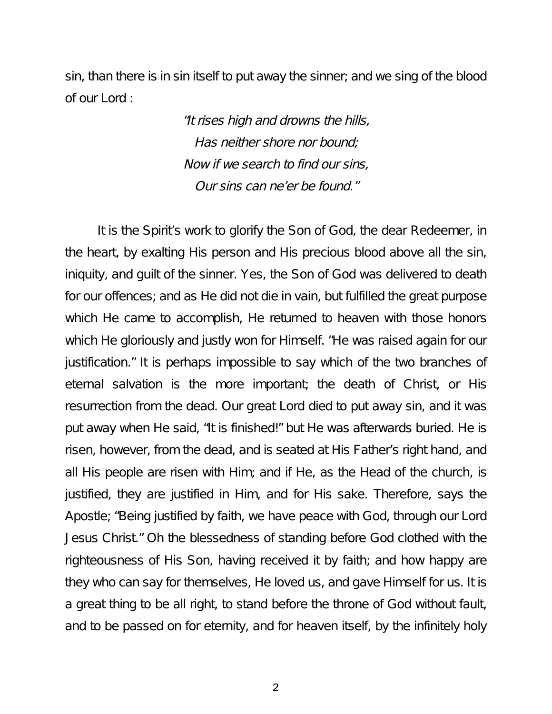sin, than there is in sin itself to put away the sinner; and we sing of the blood of our Lord :

> "It rises high and drowns the hills, Has neither shore nor bound; Now if we search to find our sins, Our sins can ne'er be found."

It is the Spirit's work to glorify the Son of God, the dear Redeemer, in the heart, by exalting His person and His precious blood above all the sin, iniquity, and guilt of the sinner. Yes, the Son of God was delivered to death for our offences; and as He did not die in vain, but fulfilled the great purpose which He came to accomplish, He returned to heaven with those honors which He gloriously and justly won for Himself. "He was raised again for our justification." It is perhaps impossible to say which of the two branches of eternal salvation is the more important; the death of Christ, or His resurrection from the dead. Our great Lord died to put away sin, and it was put away when He said, "It is finished!" but He was afterwards buried. He is risen, however, from the dead, and is seated at His Father's right hand, and all His people are risen with Him; and if He, as the Head of the church, is justified, they are justified in Him, and for His sake. Therefore, says the Apostle; "Being justified by faith, we have peace with God, through our Lord Jesus Christ." Oh the blessedness of standing before God clothed with the righteousness of His Son, having received it by faith; and how happy are they who can say for themselves, He loved us, and gave Himself for us. It is a great thing to be all right, to stand before the throne of God without fault, and to be passed on for eternity, and for heaven itself, by the infinitely holy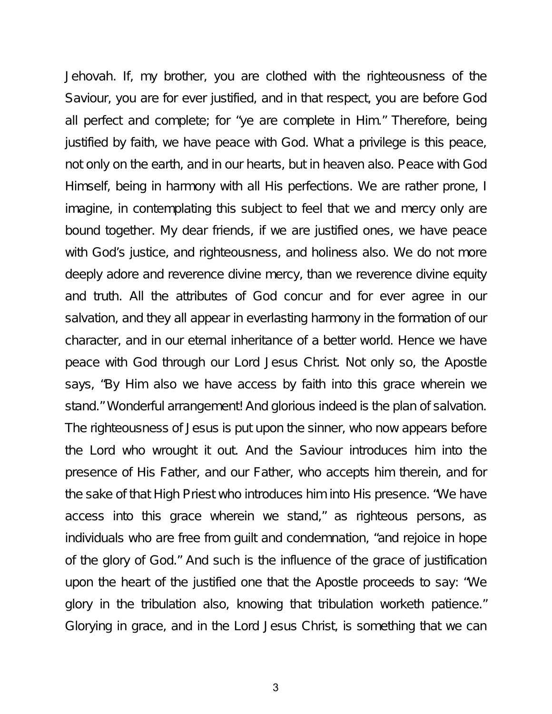Jehovah. If, my brother, you are clothed with the righteousness of the Saviour, you are for ever justified, and in that respect, you are before God all perfect and complete; for "ye are complete in Him." Therefore, being justified by faith, we have peace with God. What a privilege is this peace, not only on the earth, and in our hearts, but in heaven also. Peace with God Himself, being in harmony with all His perfections. We are rather prone, I imagine, in contemplating this subject to feel that we and mercy only are bound together. My dear friends, if we are justified ones, we have peace with God's justice, and righteousness, and holiness also. We do not more deeply adore and reverence divine mercy, than we reverence divine equity and truth. All the attributes of God concur and for ever agree in our salvation, and they all appear in everlasting harmony in the formation of our character, and in our eternal inheritance of a better world. Hence we have peace with God through our Lord Jesus Christ. Not only so, the Apostle says, "By Him also we have access by faith into this grace wherein we stand." Wonderful arrangement! And glorious indeed is the plan of salvation. The righteousness of Jesus is put upon the sinner, who now appears before the Lord who wrought it out. And the Saviour introduces him into the presence of His Father, and our Father, who accepts him therein, and for the sake of that High Priest who introduces him into His presence. "We have access into this grace wherein we stand," as righteous persons, as individuals who are free from guilt and condemnation, "and rejoice in hope of the glory of God." And such is the influence of the grace of justification upon the heart of the justified one that the Apostle proceeds to say: "We glory in the tribulation also, knowing that tribulation worketh patience." Glorying in grace, and in the Lord Jesus Christ, is something that we can

3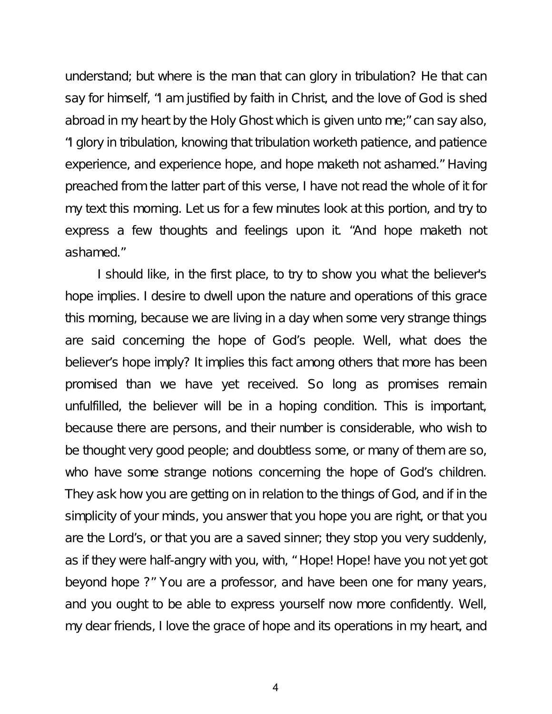understand; but where is the man that can glory in tribulation? He that can say for himself, "I am justified by faith in Christ, and the love of God is shed abroad in my heart by the Holy Ghost which is given unto me;" can say also, "I glory in tribulation, knowing that tribulation worketh patience, and patience experience, and experience hope, and hope maketh not ashamed." Having preached from the latter part of this verse, I have not read the whole of it for my text this morning. Let us for a few minutes look at this portion, and try to express a few thoughts and feelings upon it. "And hope maketh not ashamed."

I should like, in the first place, to try to show you what the believer's hope implies. I desire to dwell upon the nature and operations of this grace this morning, because we are living in a day when some very strange things are said concerning the hope of God's people. Well, what does the believer's hope imply? It implies this fact among others that more has been promised than we have yet received. So long as promises remain unfulfilled, the believer will be in a hoping condition. This is important, because there are persons, and their number is considerable, who wish to be thought very good people; and doubtless some, or many of them are so, who have some strange notions concerning the hope of God's children. They ask how you are getting on in relation to the things of God, and if in the simplicity of your minds, you answer that you hope you are right, or that you are the Lord's, or that you are a saved sinner; they stop you very suddenly, as if they were half-angry with you, with, " Hope! Hope! have you not yet got beyond hope ?" You are a professor, and have been one for many years, and you ought to be able to express yourself now more confidently. Well, my dear friends, I love the grace of hope and its operations in my heart, and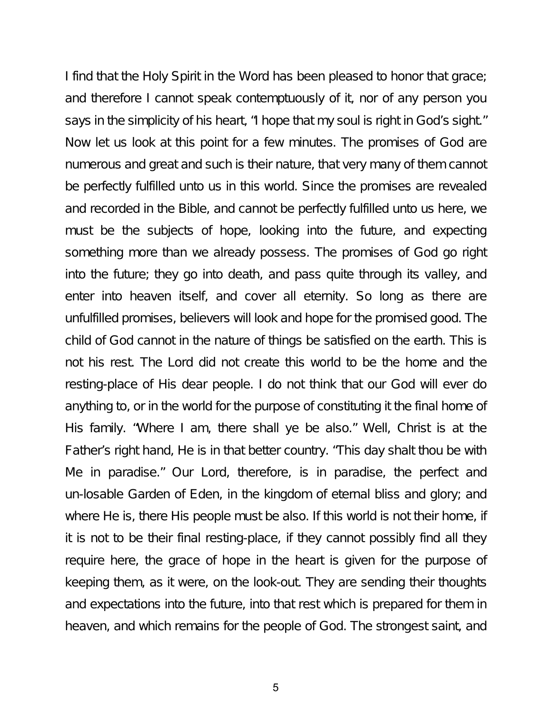I find that the Holy Spirit in the Word has been pleased to honor that grace; and therefore I cannot speak contemptuously of it, nor of any person you says in the simplicity of his heart, "I hope that my soul is right in God's sight." Now let us look at this point for a few minutes. The promises of God are numerous and great and such is their nature, that very many of them cannot be perfectly fulfilled unto us in this world. Since the promises are revealed and recorded in the Bible, and cannot be perfectly fulfilled unto us here, we must be the subjects of hope, looking into the future, and expecting something more than we already possess. The promises of God go right into the future; they go into death, and pass quite through its valley, and enter into heaven itself, and cover all eternity. So long as there are unfulfilled promises, believers will look and hope for the promised good. The child of God cannot in the nature of things be satisfied on the earth. This is not his rest. The Lord did not create this world to be the home and the resting-place of His dear people. I do not think that our God will ever do anything to, or in the world for the purpose of constituting it the final home of His family. "Where I am, there shall ye be also." Well, Christ is at the Father's right hand, He is in that better country. "This day shalt thou be with Me in paradise." Our Lord, therefore, is in paradise, the perfect and un-losable Garden of Eden, in the kingdom of eternal bliss and glory; and where He is, there His people must be also. If this world is not their home, if it is not to be their final resting-place, if they cannot possibly find all they require here, the grace of hope in the heart is given for the purpose of keeping them, as it were, on the look-out. They are sending their thoughts and expectations into the future, into that rest which is prepared for them in heaven, and which remains for the people of God. The strongest saint, and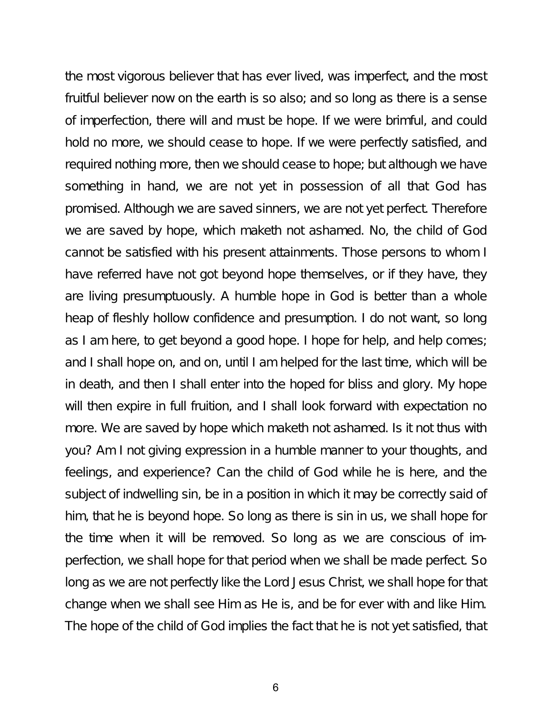the most vigorous believer that has ever lived, was imperfect, and the most fruitful believer now on the earth is so also; and so long as there is a sense of imperfection, there will and must be hope. If we were brimful, and could hold no more, we should cease to hope. If we were perfectly satisfied, and required nothing more, then we should cease to hope; but although we have something in hand, we are not yet in possession of all that God has promised. Although we are saved sinners, we are not yet perfect. Therefore we are saved by hope, which maketh not ashamed. No, the child of God cannot be satisfied with his present attainments. Those persons to whom I have referred have not got beyond hope themselves, or if they have, they are living presumptuously. A humble hope in God is better than a whole heap of fleshly hollow confidence and presumption. I do not want, so long as I am here, to get beyond a good hope. I hope for help, and help comes; and I shall hope on, and on, until I am helped for the last time, which will be in death, and then I shall enter into the hoped for bliss and glory. My hope will then expire in full fruition, and I shall look forward with expectation no more. We are saved by hope which maketh not ashamed. Is it not thus with you? Am I not giving expression in a humble manner to your thoughts, and feelings, and experience? Can the child of God while he is here, and the subject of indwelling sin, be in a position in which it may be correctly said of him, that he is beyond hope. So long as there is sin in us, we shall hope for the time when it will be removed. So long as we are conscious of imperfection, we shall hope for that period when we shall be made perfect. So long as we are not perfectly like the Lord Jesus Christ, we shall hope for that change when we shall see Him as He is, and be for ever with and like Him. The hope of the child of God implies the fact that he is not yet satisfied, that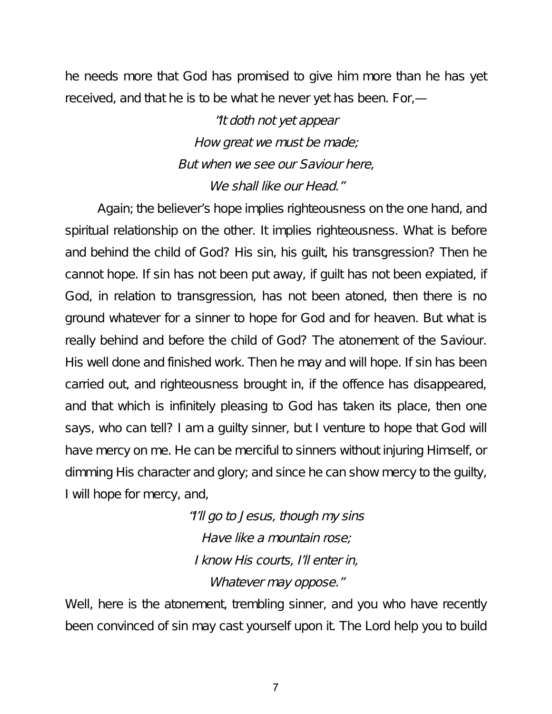he needs more that God has promised to give him more than he has yet received, and that he is to be what he never yet has been. For,—

> "It doth not yet appear How great we must be made; But when we see our Saviour here, We shall like our Head."

Again; the believer's hope implies righteousness on the one hand, and spiritual relationship on the other. It implies righteousness. What is before and behind the child of God? His sin, his guilt, his transgression? Then he cannot hope. If sin has not been put away, if guilt has not been expiated, if God, in relation to transgression, has not been atoned, then there is no ground whatever for a sinner to hope for God and for heaven. But what is really behind and before the child of God? The atonement of the Saviour. His well done and finished work. Then he may and will hope. If sin has been carried out, and righteousness brought in, if the offence has disappeared, and that which is infinitely pleasing to God has taken its place, then one says, who can tell? I am a guilty sinner, but I venture to hope that God will have mercy on me. He can be merciful to sinners without injuring Himself, or dimming His character and glory; and since he can show mercy to the guilty, I will hope for mercy, and,

> "I'll go to Jesus, though my sins Have like <sup>a</sup> mountain rose; I know His courts, I'll enter in, Whatever may oppose."

Well, here is the atonement, trembling sinner, and you who have recently been convinced of sin may cast yourself upon it. The Lord help you to build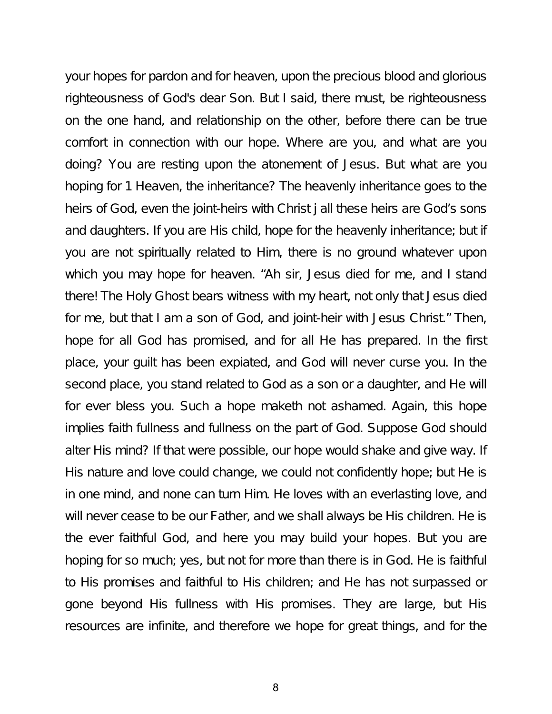your hopes for pardon and for heaven, upon the precious blood and glorious righteousness of God's dear Son. But I said, there must, be righteousness on the one hand, and relationship on the other, before there can be true comfort in connection with our hope. Where are you, and what are you doing? You are resting upon the atonement of Jesus. But what are you hoping for 1 Heaven, the inheritance? The heavenly inheritance goes to the heirs of God, even the joint-heirs with Christ j all these heirs are God's sons and daughters. If you are His child, hope for the heavenly inheritance; but if you are not spiritually related to Him, there is no ground whatever upon which you may hope for heaven. "Ah sir, Jesus died for me, and I stand there! The Holy Ghost bears witness with my heart, not only that Jesus died for me, but that I am a son of God, and joint-heir with Jesus Christ." Then, hope for all God has promised, and for all He has prepared. In the first place, your guilt has been expiated, and God will never curse you. In the second place, you stand related to God as a son or a daughter, and He will for ever bless you. Such a hope maketh not ashamed. Again, this hope implies faith fullness and fullness on the part of God. Suppose God should alter His mind? If that were possible, our hope would shake and give way. If His nature and love could change, we could not confidently hope; but He is in one mind, and none can turn Him. He loves with an everlasting love, and will never cease to be our Father, and we shall always be His children. He is the ever faithful God, and here you may build your hopes. But you are hoping for so much; yes, but not for more than there is in God. He is faithful to His promises and faithful to His children; and He has not surpassed or gone beyond His fullness with His promises. They are large, but His resources are infinite, and therefore we hope for great things, and for the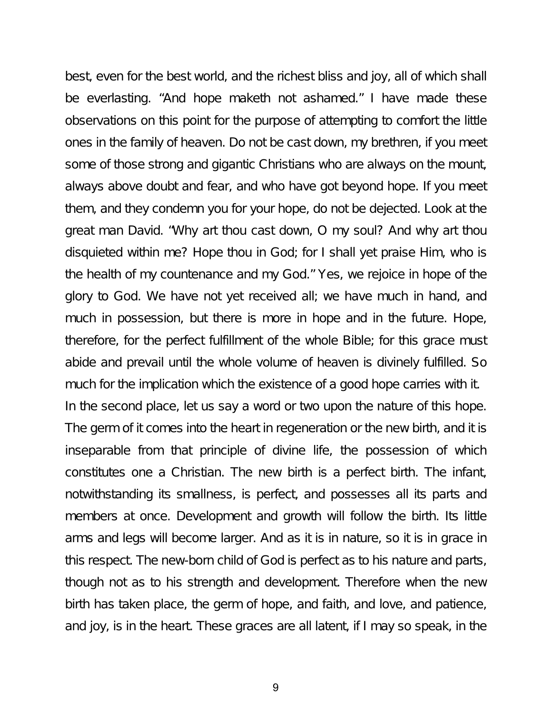best, even for the best world, and the richest bliss and joy, all of which shall be everlasting. "And hope maketh not ashamed." I have made these observations on this point for the purpose of attempting to comfort the little ones in the family of heaven. Do not be cast down, my brethren, if you meet some of those strong and gigantic Christians who are always on the mount, always above doubt and fear, and who have got beyond hope. If you meet them, and they condemn you for your hope, do not be dejected. Look at the great man David. "Why art thou cast down, O my soul? And why art thou disquieted within me? Hope thou in God; for I shall yet praise Him, who is the health of my countenance and my God." Yes, we rejoice in hope of the glory to God. We have not yet received all; we have much in hand, and much in possession, but there is more in hope and in the future. Hope, therefore, for the perfect fulfillment of the whole Bible; for this grace must abide and prevail until the whole volume of heaven is divinely fulfilled. So much for the implication which the existence of a good hope carries with it. In the second place, let us say a word or two upon the nature of this hope. The germ of it comes into the heart in regeneration or the new birth, and it is inseparable from that principle of divine life, the possession of which constitutes one a Christian. The new birth is a perfect birth. The infant, notwithstanding its smallness, is perfect, and possesses all its parts and members at once. Development and growth will follow the birth. Its little arms and legs will become larger. And as it is in nature, so it is in grace in this respect. The new-born child of God is perfect as to his nature and parts, though not as to his strength and development. Therefore when the new birth has taken place, the germ of hope, and faith, and love, and patience, and joy, is in the heart. These graces are all latent, if I may so speak, in the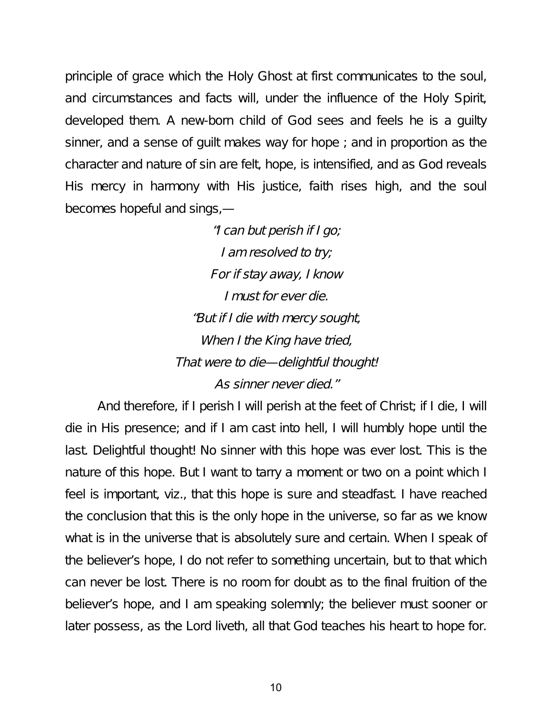principle of grace which the Holy Ghost at first communicates to the soul, and circumstances and facts will, under the influence of the Holy Spirit, developed them. A new-born child of God sees and feels he is a guilty sinner, and a sense of guilt makes way for hope ; and in proportion as the character and nature of sin are felt, hope, is intensified, and as God reveals His mercy in harmony with His justice, faith rises high, and the soul becomes hopeful and sings,—

> "I can but perish if <sup>I</sup> go; I am resolved to try; For if stay away, <sup>I</sup> know I must for ever die. "But if <sup>I</sup> die with mercy sought, When I the King have tried, That were to die—delightful thought! As sinner never died."

And therefore, if I perish I will perish at the feet of Christ; if I die, I will die in His presence; and if I am cast into hell, I will humbly hope until the last. Delightful thought! No sinner with this hope was ever lost. This is the nature of this hope. But I want to tarry a moment or two on a point which I feel is important, viz., that this hope is sure and steadfast. I have reached the conclusion that this is the only hope in the universe, so far as we know what is in the universe that is absolutely sure and certain. When I speak of the believer's hope, I do not refer to something uncertain, but to that which can never be lost. There is no room for doubt as to the final fruition of the believer's hope, and I am speaking solemnly; the believer must sooner or later possess, as the Lord liveth, all that God teaches his heart to hope for.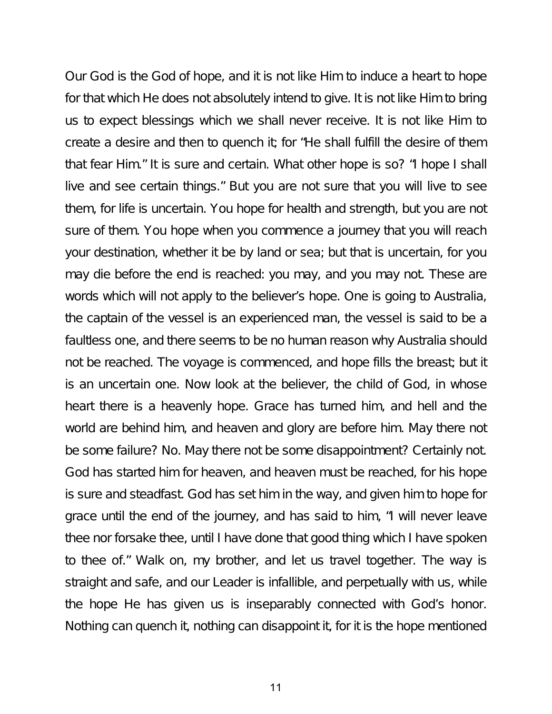Our God is the God of hope, and it is not like Him to induce a heart to hope for that which He does not absolutely intend to give. It is not like Him to bring us to expect blessings which we shall never receive. It is not like Him to create a desire and then to quench it; for "He shall fulfill the desire of them that fear Him." It is sure and certain. What other hope is so? "I hope I shall live and see certain things." But you are not sure that you will live to see them, for life is uncertain. You hope for health and strength, but you are not sure of them. You hope when you commence a journey that you will reach your destination, whether it be by land or sea; but that is uncertain, for you may die before the end is reached: you may, and you may not. These are words which will not apply to the believer's hope. One is going to Australia, the captain of the vessel is an experienced man, the vessel is said to be a faultless one, and there seems to be no human reason why Australia should not be reached. The voyage is commenced, and hope fills the breast; but it is an uncertain one. Now look at the believer, the child of God, in whose heart there is a heavenly hope. Grace has turned him, and hell and the world are behind him, and heaven and glory are before him. May there not be some failure? No. May there not be some disappointment? Certainly not. God has started him for heaven, and heaven must be reached, for his hope is sure and steadfast. God has set him in the way, and given him to hope for grace until the end of the journey, and has said to him, "I will never leave thee nor forsake thee, until I have done that good thing which I have spoken to thee of." Walk on, my brother, and let us travel together. The way is straight and safe, and our Leader is infallible, and perpetually with us, while the hope He has given us is inseparably connected with God's honor. Nothing can quench it, nothing can disappoint it, for it is the hope mentioned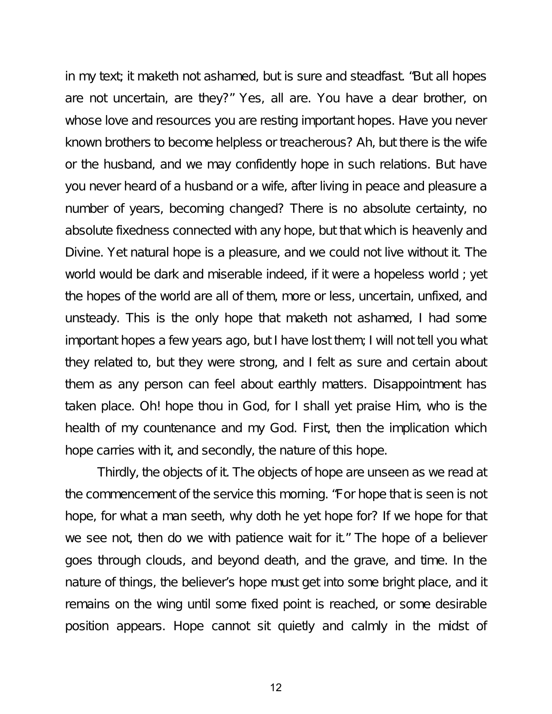in my text; it maketh not ashamed, but is sure and steadfast. "But all hopes are not uncertain, are they?" Yes, all are. You have a dear brother, on whose love and resources you are resting important hopes. Have you never known brothers to become helpless or treacherous? Ah, but there is the wife or the husband, and we may confidently hope in such relations. But have you never heard of a husband or a wife, after living in peace and pleasure a number of years, becoming changed? There is no absolute certainty, no absolute fixedness connected with any hope, but that which is heavenly and Divine. Yet natural hope is a pleasure, and we could not live without it. The world would be dark and miserable indeed, if it were a hopeless world ; yet the hopes of the world are all of them, more or less, uncertain, unfixed, and unsteady. This is the only hope that maketh not ashamed, I had some important hopes a few years ago, but I have lost them; I will not tell you what they related to, but they were strong, and I felt as sure and certain about them as any person can feel about earthly matters. Disappointment has taken place. Oh! hope thou in God, for I shall yet praise Him, who is the health of my countenance and my God. First, then the implication which hope carries with it, and secondly, the nature of this hope.

Thirdly, the objects of it. The objects of hope are unseen as we read at the commencement of the service this morning. "For hope that is seen is not hope, for what a man seeth, why doth he yet hope for? If we hope for that we see not, then do we with patience wait for it." The hope of a believer goes through clouds, and beyond death, and the grave, and time. In the nature of things, the believer's hope must get into some bright place, and it remains on the wing until some fixed point is reached, or some desirable position appears. Hope cannot sit quietly and calmly in the midst of

12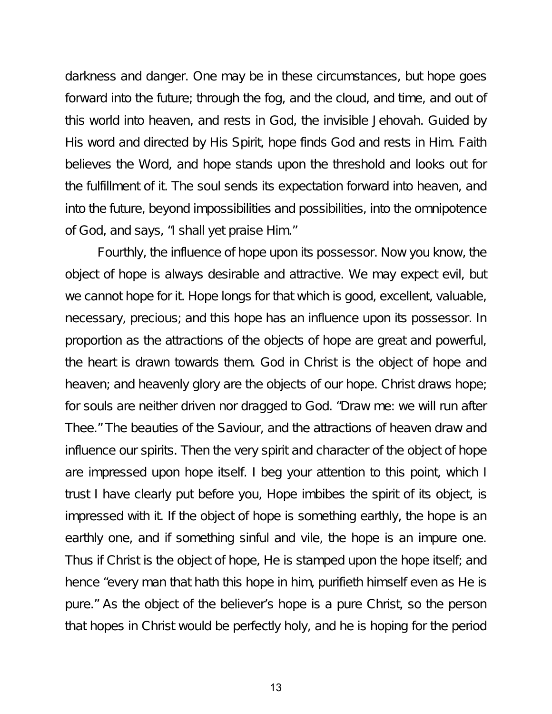darkness and danger. One may be in these circumstances, but hope goes forward into the future; through the fog, and the cloud, and time, and out of this world into heaven, and rests in God, the invisible Jehovah. Guided by His word and directed by His Spirit, hope finds God and rests in Him. Faith believes the Word, and hope stands upon the threshold and looks out for the fulfillment of it. The soul sends its expectation forward into heaven, and into the future, beyond impossibilities and possibilities, into the omnipotence of God, and says, "I shall yet praise Him."

Fourthly, the influence of hope upon its possessor. Now you know, the object of hope is always desirable and attractive. We may expect evil, but we cannot hope for it. Hope longs for that which is good, excellent, valuable, necessary, precious; and this hope has an influence upon its possessor. In proportion as the attractions of the objects of hope are great and powerful, the heart is drawn towards them. God in Christ is the object of hope and heaven; and heavenly glory are the objects of our hope. Christ draws hope; for souls are neither driven nor dragged to God. "Draw me: we will run after Thee." The beauties of the Saviour, and the attractions of heaven draw and influence our spirits. Then the very spirit and character of the object of hope are impressed upon hope itself. I beg your attention to this point, which I trust I have clearly put before you, Hope imbibes the spirit of its object, is impressed with it. If the object of hope is something earthly, the hope is an earthly one, and if something sinful and vile, the hope is an impure one. Thus if Christ is the object of hope, He is stamped upon the hope itself; and hence "every man that hath this hope in him, purifieth himself even as He is pure." As the object of the believer's hope is a pure Christ, so the person that hopes in Christ would be perfectly holy, and he is hoping for the period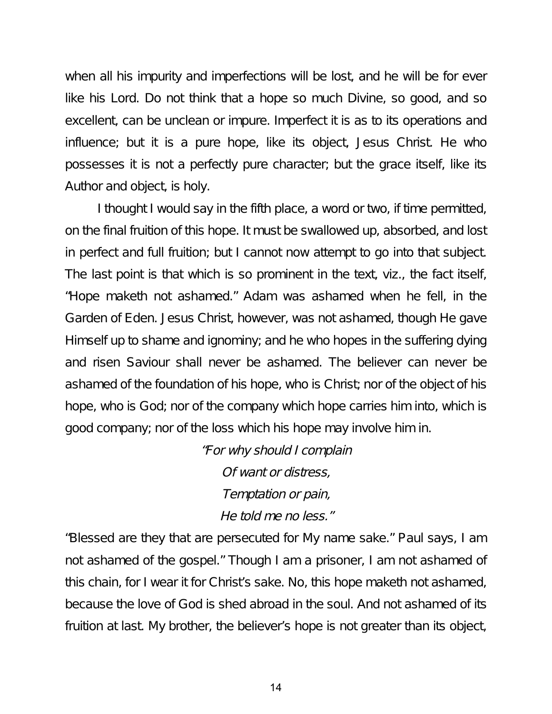when all his impurity and imperfections will be lost, and he will be for ever like his Lord. Do not think that a hope so much Divine, so good, and so excellent, can be unclean or impure. Imperfect it is as to its operations and influence; but it is a pure hope, like its object, Jesus Christ. He who possesses it is not a perfectly pure character; but the grace itself, like its Author and object, is holy.

I thought I would say in the fifth place, a word or two, if time permitted, on the final fruition of this hope. It must be swallowed up, absorbed, and lost in perfect and full fruition; but I cannot now attempt to go into that subject. The last point is that which is so prominent in the text, viz., the fact itself, "Hope maketh not ashamed." Adam was ashamed when he fell, in the Garden of Eden. Jesus Christ, however, was not ashamed, though He gave Himself up to shame and ignominy; and he who hopes in the suffering dying and risen Saviour shall never be ashamed. The believer can never be ashamed of the foundation of his hope, who is Christ; nor of the object of his hope, who is God; nor of the company which hope carries him into, which is good company; nor of the loss which his hope may involve him in.

> "For why should <sup>I</sup> complain Of want or distress, Temptation or pain, He told me no less."

"Blessed are they that are persecuted for My name sake." Paul says, I am not ashamed of the gospel." Though I am a prisoner, I am not ashamed of this chain, for I wear it for Christ's sake. No, this hope maketh not ashamed, because the love of God is shed abroad in the soul. And not ashamed of its fruition at last. My brother, the believer's hope is not greater than its object,

14